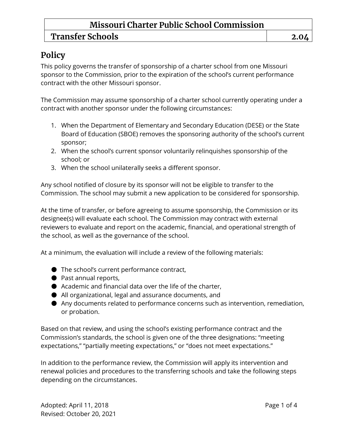# **Transfer Schools 2.04**

## **Policy**

This policy governs the transfer of sponsorship of a charter school from one Missouri sponsor to the Commission, prior to the expiration of the school's current performance contract with the other Missouri sponsor.

The Commission may assume sponsorship of a charter school currently operating under a contract with another sponsor under the following circumstances:

- 1. When the Department of Elementary and Secondary Education (DESE) or the State Board of Education (SBOE) removes the sponsoring authority of the school's current sponsor;
- 2. When the school's current sponsor voluntarily relinquishes sponsorship of the school; or
- 3. When the school unilaterally seeks a different sponsor.

Any school notified of closure by its sponsor will not be eligible to transfer to the Commission. The school may submit a new application to be considered for sponsorship.

At the time of transfer, or before agreeing to assume sponsorship, the Commission or its designee(s) will evaluate each school. The Commission may contract with external reviewers to evaluate and report on the academic, financial, and operational strength of the school, as well as the governance of the school.

At a minimum, the evaluation will include a review of the following materials:

- The school's current performance contract,
- Past annual reports,
- Academic and financial data over the life of the charter,
- All organizational, legal and assurance documents, and
- Any documents related to performance concerns such as intervention, remediation, or probation.

Based on that review, and using the school's existing performance contract and the Commission's standards, the school is given one of the three designations: "meeting expectations," "partially meeting expectations," or "does not meet expectations."

In addition to the performance review, the Commission will apply its intervention and renewal policies and procedures to the transferring schools and take the following steps depending on the circumstances.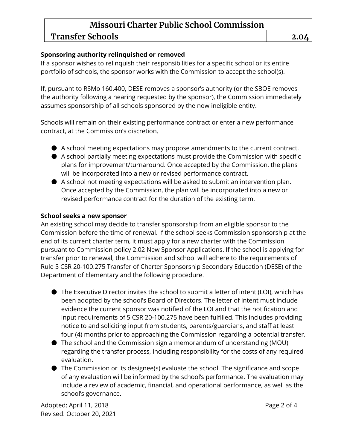# Transfer Schools **2.04**

#### **Sponsoring authority relinquished or removed**

If a sponsor wishes to relinquish their responsibilities for a specific school or its entire portfolio of schools, the sponsor works with the Commission to accept the school(s).

If, pursuant to RSMo 160.400, DESE removes a sponsor's authority (or the SBOE removes the authority following a hearing requested by the sponsor), the Commission immediately assumes sponsorship of all schools sponsored by the now ineligible entity.

Schools will remain on their existing performance contract or enter a new performance contract, at the Commission's discretion.

- A school meeting expectations may propose amendments to the current contract.
- A school partially meeting expectations must provide the Commission with specific plans for improvement/turnaround. Once accepted by the Commission, the plans will be incorporated into a new or revised performance contract.
- A school not meeting expectations will be asked to submit an intervention plan. Once accepted by the Commission, the plan will be incorporated into a new or revised performance contract for the duration of the existing term.

#### **School seeks a new sponsor**

An existing school may decide to transfer sponsorship from an eligible sponsor to the Commission before the time of renewal. If the school seeks Commission sponsorship at the end of its current charter term, it must apply for a new charter with the Commission pursuant to Commission policy 2.02 New Sponsor Applications. If the school is applying for transfer prior to renewal, the Commission and school will adhere to the requirements of Rule 5 CSR 20-100.275 Transfer of Charter Sponsorship Secondary Education (DESE) of the Department of Elementary and the following procedure.

- The Executive Director invites the school to submit a letter of intent (LOI), which has been adopted by the school's Board of Directors. The letter of intent must include evidence the current sponsor was notified of the LOI and that the notification and input requirements of 5 CSR 20-100.275 have been fulfilled. This includes providing notice to and soliciting input from students, parents/guardians, and staff at least four (4) months prior to approaching the Commission regarding a potential transfer.
- The school and the Commission sign a memorandum of understanding (MOU) regarding the transfer process, including responsibility for the costs of any required evaluation.
- $\bullet$  The Commission or its designee(s) evaluate the school. The significance and scope of any evaluation will be informed by the school's performance. The evaluation may include a review of academic, financial, and operational performance, as well as the school's governance.

Adopted: April 11, 2018 **Page 2 of 4** Revised: October 20, 2021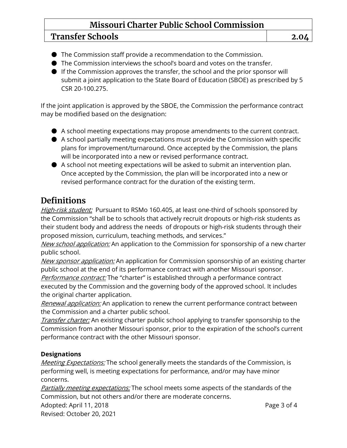### **Transfer Schools 2.04**

- The Commission staff provide a recommendation to the Commission.
- The Commission interviews the school's board and votes on the transfer.

● If the Commission approves the transfer, the school and the prior sponsor will submit a joint application to the State Board of Education (SBOE) as prescribed by 5 CSR 20-100.275.

If the joint application is approved by the SBOE, the Commission the performance contract may be modified based on the designation:

- A school meeting expectations may propose amendments to the current contract.
- A school partially meeting expectations must provide the Commission with specific plans for improvement/turnaround. Once accepted by the Commission, the plans will be incorporated into a new or revised performance contract.
- A school not meeting expectations will be asked to submit an intervention plan. Once accepted by the Commission, the plan will be incorporated into a new or revised performance contract for the duration of the existing term.

## **Definitions**

High-risk student: Pursuant to RSMo 160.405, at least one-third of schools sponsored by the Commission "shall be to schools that actively recruit dropouts or high-risk students as their student body and address the needs of dropouts or high-risk students through their proposed mission, curriculum, teaching methods, and services."

New school application: An application to the Commission for sponsorship of a new charter public school.

New sponsor application: An application for Commission sponsorship of an existing charter public school at the end of its performance contract with another Missouri sponsor. Performance contract: The "charter" is established through a performance contract

executed by the Commission and the governing body of the approved school. It includes the original charter application.

Renewal application: An application to renew the current performance contract between the Commission and a charter public school.

Transfer charter: An existing charter public school applying to transfer sponsorship to the Commission from another Missouri sponsor, prior to the expiration of the school's current performance contract with the other Missouri sponsor.

#### **Designations**

Meeting Expectations: The school generally meets the standards of the Commission, is performing well, is meeting expectations for performance, and/or may have minor concerns.

Partially meeting expectations: The school meets some aspects of the standards of the Commission, but not others and/or there are moderate concerns.

Adopted: April 11, 2018 **Page 3 of 4**